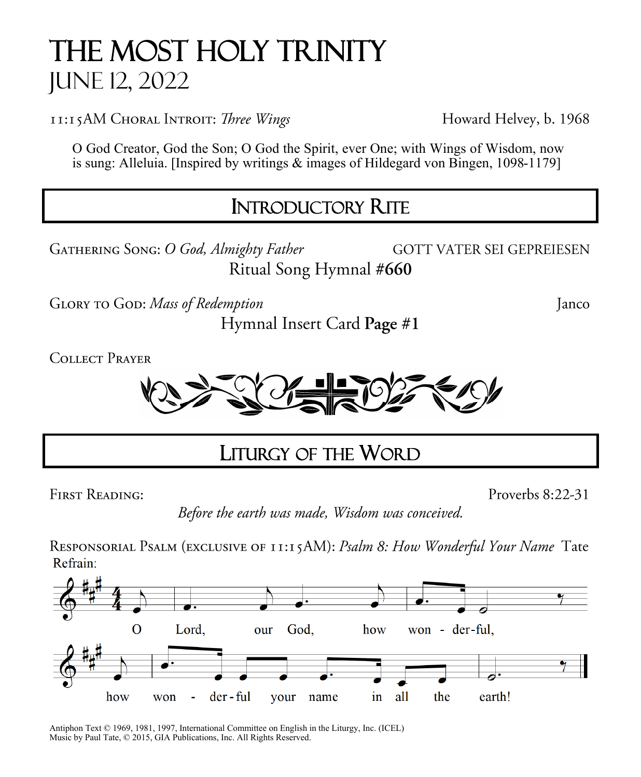# The Most Holy Trinity June 12, 2022

11:15AM CHORAL INTROIT: Three Wings

Howard Helvey, b. 1968

O God Creator, God the Son; O God the Spirit, ever One; with Wings of Wisdom, now is sung: Alleluia. [Inspired by writings & images of Hildegard von Bingen, 1098-1179]  $\overline{a}$ 

# INTRODUCTORY RITE

GATHERING SONG: O God, Almighty Father **GOTT VATER SEI GEPREIESEN** Ritual Song Hymnal #660

GLORY TO GOD: Mass of Redemption

Hymnal Insert Card Page #1

**COLLECT PRAYER** 



### $\overline{a}$ LITURGY OF THE WORD

**FIRST READING:** 

Proverbs 8:22-31

Janco

Before the earth was made, Wisdom was conceived.

RESPONSORIAL PSALM (EXCLUSIVE OF 11:15AM): Psalm 8: How Wonderful Your Name Tate Refrain:



Antiphon Text © 1969, 1981, 1997, International Committee on English in the Liturgy, Inc. (ICEL) Music by Paul Tate, © 2015, GIA Publications, Inc. All Rights Reserved.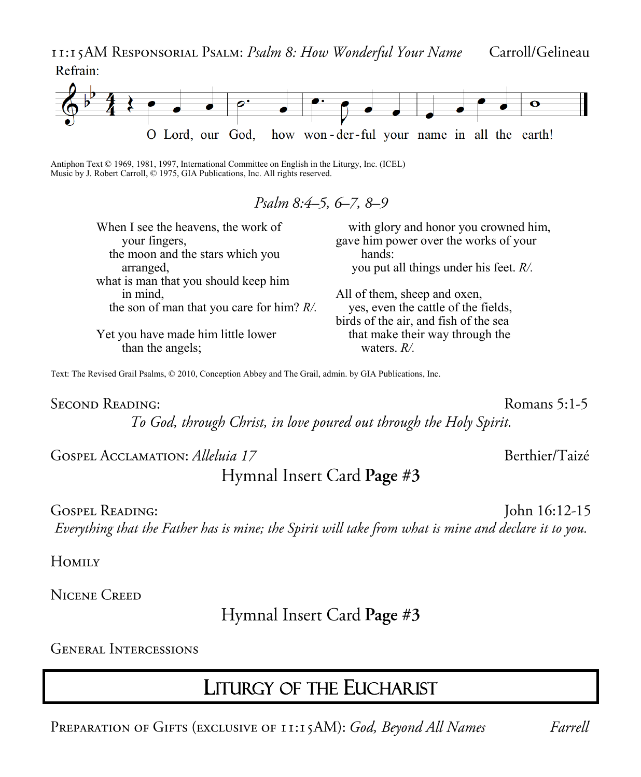II:15AM RESPONSORIAL PSALM: Psalm 8: How Wonderful Your Name Carroll/Gelineau Refrain:



Antiphon Text © 1969, 1981, 1997, International Committee on English in the Liturgy, Inc. (ICEL) Music by J. Robert Carroll, © 1975, GIA Publications, Inc. All rights reserved.

#### Psalm 8:4–5, 6–7, 8–9

| When I see the heavens, the work of          | with glory and honor you crowned him.     |
|----------------------------------------------|-------------------------------------------|
| your fingers,                                | gave him power over the works of your     |
| the moon and the stars which you             | hands:                                    |
| arranged,                                    | you put all things under his feet. $R/$ . |
| what is man that you should keep him         |                                           |
| in mind,                                     | All of them, sheep and oxen,              |
| the son of man that you care for him? $R/$ . | yes, even the cattle of the fields,       |
|                                              | birds of the air, and fish of the sea     |
| Yet you have made him little lower           | that make their way through the           |
| than the angels;                             | waters. $R/$ .                            |

Text: The Revised Grail Psalms, © 2010, Conception Abbey and The Grail, admin. by GIA Publications, Inc.

**SECOND READING:** 

Romans 5:1-5

Berthier/Taizé

To God, through Christ, in love poured out through the Holy Spirit.

GOSPEL ACCLAMATION: Alleluia 17

#### Hymnal Insert Card Page #3

John 16:12-15 **GOSPEL READING:** Everything that the Father has is mine; the Spirit will take from what is mine and declare it to you.

Номих

**NICENE CREED** 

Hymnal Insert Card Page #3

**GENERAL INTERCESSIONS** 

### **LITURGY OF THE EUCHARIST**

PREPARATION OF GIFTS (EXCLUSIVE OF 11:15AM): God, Beyond All Names

Farrell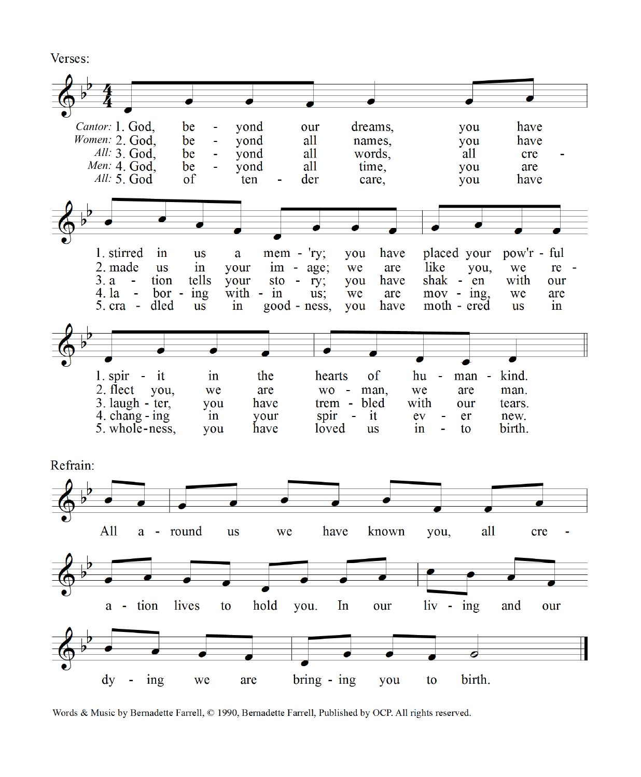Verses:



Words & Music by Bernadette Farrell, © 1990, Bernadette Farrell, Published by OCP. All rights reserved.